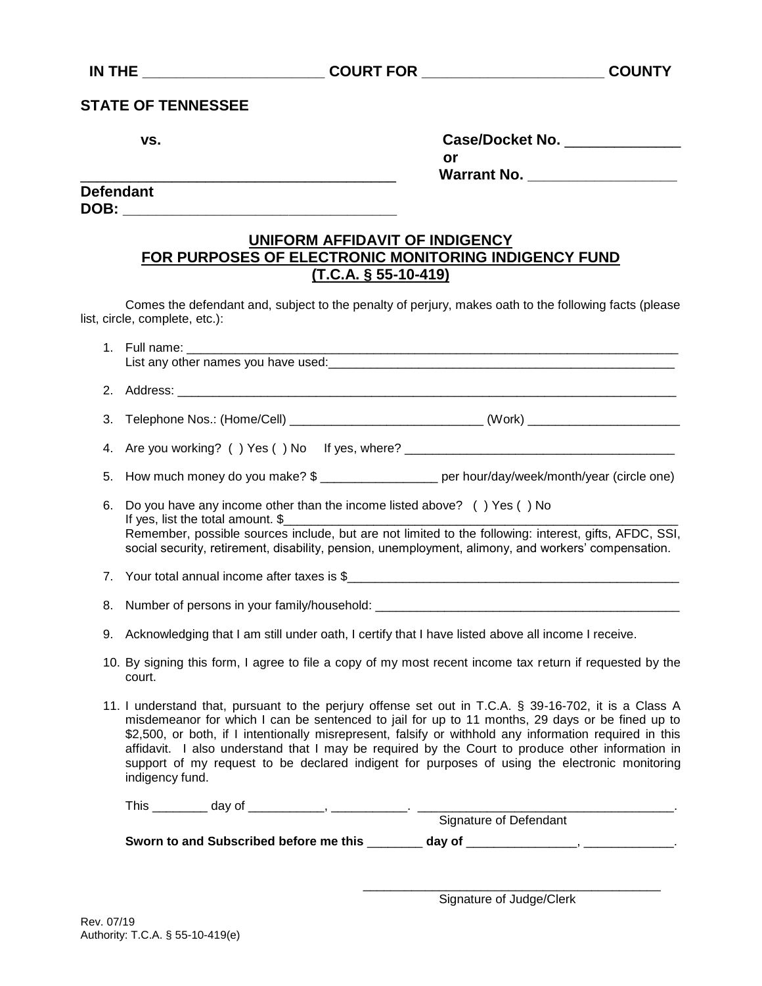### **STATE OF TENNESSEE**

| VS. | <b>Case/Docket No.</b> |
|-----|------------------------|
|     | or                     |
|     | <b>Warrant No.</b>     |

**Defendant DOB:**  $\blacksquare$ 

## **UNIFORM AFFIDAVIT OF INDIGENCY FOR PURPOSES OF ELECTRONIC MONITORING INDIGENCY FUND (T.C.A. § 55-10-419)**

Comes the defendant and, subject to the penalty of perjury, makes oath to the following facts (please list, circle, complete, etc.):

|    | List any other names you have used:<br><u>List any other names you have used:</u>                                                                                                                                                                                                                                                                                                                                                                                                                                                           |  |  |  |
|----|---------------------------------------------------------------------------------------------------------------------------------------------------------------------------------------------------------------------------------------------------------------------------------------------------------------------------------------------------------------------------------------------------------------------------------------------------------------------------------------------------------------------------------------------|--|--|--|
|    |                                                                                                                                                                                                                                                                                                                                                                                                                                                                                                                                             |  |  |  |
|    | 3. Telephone Nos.: (Home/Cell) _________________________________(Work) ____________________________                                                                                                                                                                                                                                                                                                                                                                                                                                         |  |  |  |
|    | 4. Are you working? () Yes () No If yes, where? ________________________________                                                                                                                                                                                                                                                                                                                                                                                                                                                            |  |  |  |
|    | 5. How much money do you make? \$ ___________________ per hour/day/week/month/year (circle one)                                                                                                                                                                                                                                                                                                                                                                                                                                             |  |  |  |
| 6. | Do you have any income other than the income listed above? () Yes () No<br>If yes, list the total amount. \$                                                                                                                                                                                                                                                                                                                                                                                                                                |  |  |  |
|    | Remember, possible sources include, but are not limited to the following: interest, gifts, AFDC, SSI,<br>social security, retirement, disability, pension, unemployment, alimony, and workers' compensation.                                                                                                                                                                                                                                                                                                                                |  |  |  |
|    | 7. Your total annual income after taxes is \$                                                                                                                                                                                                                                                                                                                                                                                                                                                                                               |  |  |  |
|    | 8. Number of persons in your family/household: __________________________________                                                                                                                                                                                                                                                                                                                                                                                                                                                           |  |  |  |
|    | 9. Acknowledging that I am still under oath, I certify that I have listed above all income I receive.                                                                                                                                                                                                                                                                                                                                                                                                                                       |  |  |  |
|    | 10. By signing this form, I agree to file a copy of my most recent income tax return if requested by the<br>court.                                                                                                                                                                                                                                                                                                                                                                                                                          |  |  |  |
|    | 11. I understand that, pursuant to the perjury offense set out in T.C.A. § 39-16-702, it is a Class A<br>misdemeanor for which I can be sentenced to jail for up to 11 months, 29 days or be fined up to<br>\$2,500, or both, if I intentionally misrepresent, falsify or withhold any information required in this<br>affidavit. I also understand that I may be required by the Court to produce other information in<br>support of my request to be declared indigent for purposes of using the electronic monitoring<br>indigency fund. |  |  |  |
|    |                                                                                                                                                                                                                                                                                                                                                                                                                                                                                                                                             |  |  |  |
|    |                                                                                                                                                                                                                                                                                                                                                                                                                                                                                                                                             |  |  |  |
|    |                                                                                                                                                                                                                                                                                                                                                                                                                                                                                                                                             |  |  |  |

 \_\_\_\_\_\_\_\_\_\_\_\_\_\_\_\_\_\_\_\_\_\_\_\_\_\_\_\_\_\_\_\_\_\_\_\_\_\_\_\_\_\_\_ Signature of Judge/Clerk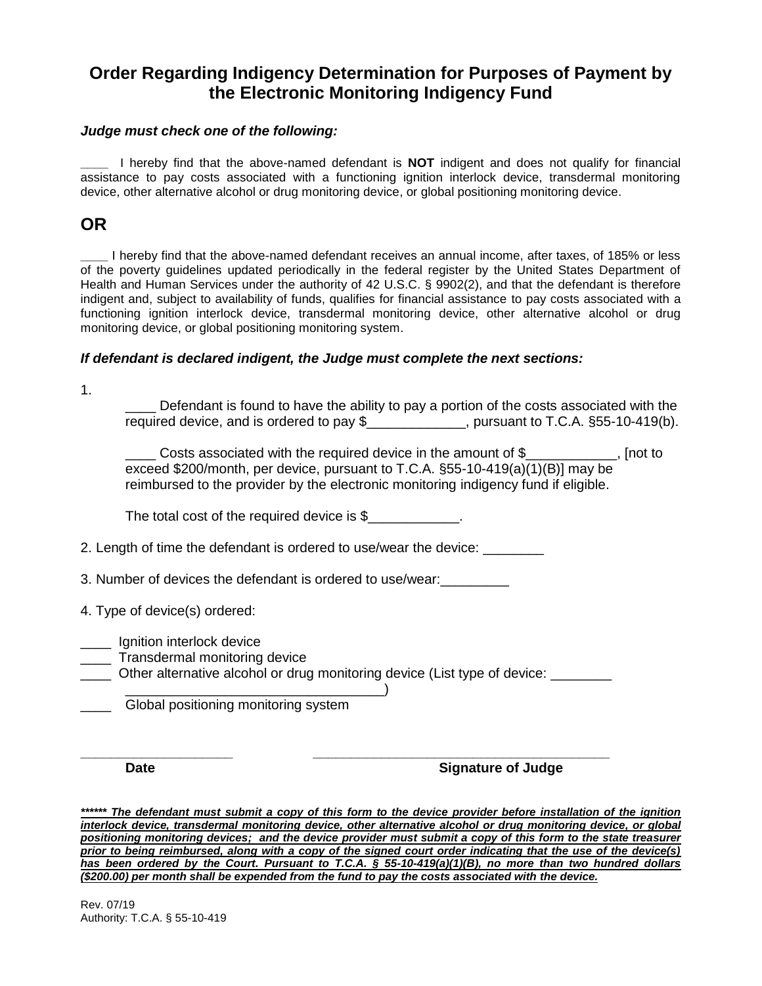# **Order Regarding Indigency Determination for Purposes of Payment by the Electronic Monitoring Indigency Fund**

#### *Judge must check one of the following:*

**\_\_\_\_** I hereby find that the above-named defendant is **NOT** indigent and does not qualify for financial assistance to pay costs associated with a functioning ignition interlock device, transdermal monitoring device, other alternative alcohol or drug monitoring device, or global positioning monitoring device.

## **OR**

**\_\_\_\_** I hereby find that the above-named defendant receives an annual income, after taxes, of 185% or less of the poverty guidelines updated periodically in the federal register by the United States Department of Health and Human Services under the authority of 42 U.S.C. § 9902(2), and that the defendant is therefore indigent and, subject to availability of funds, qualifies for financial assistance to pay costs associated with a functioning ignition interlock device, transdermal monitoring device, other alternative alcohol or drug monitoring device, or global positioning monitoring system.

#### *If defendant is declared indigent, the Judge must complete the next sections:*

1.

Defendant is found to have the ability to pay a portion of the costs associated with the required device, and is ordered to pay \$\_\_\_\_\_\_\_\_\_\_\_\_, pursuant to T.C.A. §55-10-419(b).

Costs associated with the required device in the amount of  $$$ exceed \$200/month, per device, pursuant to T.C.A. §55-10-419(a)(1)(B)] may be reimbursed to the provider by the electronic monitoring indigency fund if eligible.

The total cost of the required device is \$

2. Length of time the defendant is ordered to use/wear the device: \_\_\_\_\_\_\_\_\_\_\_\_\_

3. Number of devices the defendant is ordered to use/wear:

- 4. Type of device(s) ordered:
- \_\_\_\_ Ignition interlock device
- \_\_\_\_ Transdermal monitoring device
- Other alternative alcohol or drug monitoring device (List type of device:

\_\_\_\_\_\_\_\_\_\_\_\_\_\_\_\_\_\_\_\_\_\_\_\_\_\_\_\_\_\_\_\_\_\_) \_\_\_\_ Global positioning monitoring system

**\_\_\_\_\_\_\_\_\_\_\_\_\_\_\_\_\_\_\_\_ \_\_\_\_\_\_\_\_\_\_\_\_\_\_\_\_\_\_\_\_\_\_\_\_\_\_\_\_\_\_\_\_\_\_\_\_\_\_\_ Date** Signature of Judge

*\*\*\*\*\*\* The defendant must submit a copy of this form to the device provider before installation of the ignition interlock device, transdermal monitoring device, other alternative alcohol or drug monitoring device, or global positioning monitoring devices; and the device provider must submit a copy of this form to the state treasurer prior to being reimbursed, along with a copy of the signed court order indicating that the use of the device(s) has been ordered by the Court. Pursuant to T.C.A. § 55-10-419(a)(1)(B), no more than two hundred dollars (\$200.00) per month shall be expended from the fund to pay the costs associated with the device.* 

Rev. 07/19 Authority: T.C.A. § 55-10-419